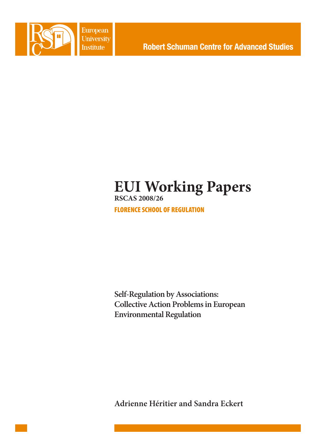

**European University Institute** 

**Robert Schuman Centre for Advanced Studies** 

# **EUI Working Papers RSCAS 2008/26** FLORENCE SCHOOL OF REGULATION

**Self-Regulation by Associations: Collective Action Problems in European Environmental Regulation** 

**Adrienne Héritier and Sandra Eckert**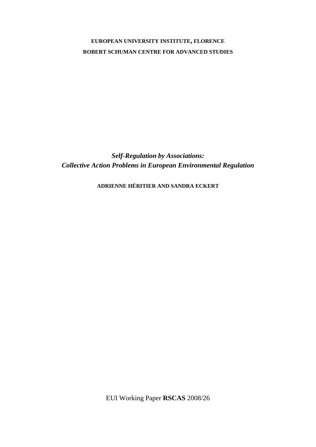## **EUROPEAN UNIVERSITY INSTITUTE, FLORENCE ROBERT SCHUMAN CENTRE FOR ADVANCED STUDIES**

*Self-Regulation by Associations: Collective Action Problems in European Environmental Regulation* 

**ADRIENNE HÉRITIER AND SANDRA ECKERT**

EUI Working Paper **RSCAS** 2008/26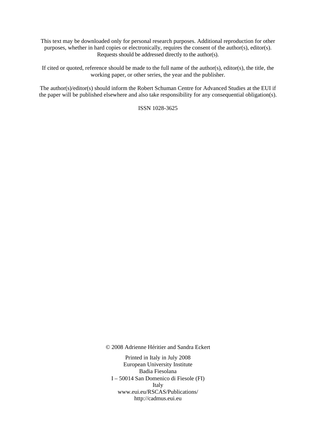This text may be downloaded only for personal research purposes. Additional reproduction for other purposes, whether in hard copies or electronically, requires the consent of the author(s), editor(s). Requests should be addressed directly to the author(s).

If cited or quoted, reference should be made to the full name of the author(s), editor(s), the title, the working paper, or other series, the year and the publisher.

The author(s)/editor(s) should inform the Robert Schuman Centre for Advanced Studies at the EUI if the paper will be published elsewhere and also take responsibility for any consequential obligation(s).

ISSN 1028-3625

© 2008 Adrienne Héritier and Sandra Eckert

Printed in Italy in July 2008 European University Institute Badia Fiesolana I – 50014 San Domenico di Fiesole (FI) Italy [www.eui.eu/RSCAS/Publications/](http://www.eui.eu/RSCAS/Publications/)  <http://cadmus.eui.eu>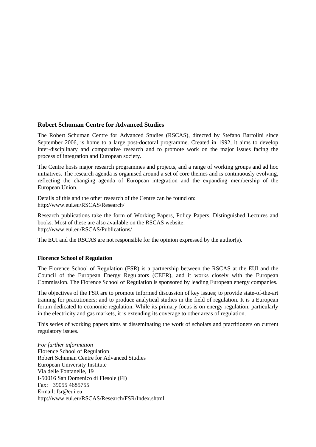## **Robert Schuman Centre for Advanced Studies**

The Robert Schuman Centre for Advanced Studies (RSCAS), directed by Stefano Bartolini since September 2006, is home to a large post-doctoral programme. Created in 1992, it aims to develop inter-disciplinary and comparative research and to promote work on the major issues facing the process of integration and European society.

The Centre hosts major research programmes and projects, and a range of working groups and ad hoc initiatives. The research agenda is organised around a set of core themes and is continuously evolving, reflecting the changing agenda of European integration and the expanding membership of the European Union.

Details of this and the other research of the Centre can be found on: http://www.eui.eu/RSCAS/Research/

Research publications take the form of Working Papers, Policy Papers, Distinguished Lectures and books. Most of these are also available on the RSCAS website: http://www.eui.eu/RSCAS/Publications/

The EUI and the RSCAS are not responsible for the opinion expressed by the author(s).

#### **Florence School of Regulation**

The Florence School of Regulation (FSR) is a partnership between the RSCAS at the EUI and the Council of the European Energy Regulators (CEER), and it works closely with the European Commission. The Florence School of Regulation is sponsored by leading European energy companies.

The objectives of the FSR are to promote informed discussion of key issues; to provide state-of-the-art training for practitioners; and to produce analytical studies in the field of regulation. It is a European forum dedicated to economic regulation. While its primary focus is on energy regulation, particularly in the electricity and gas markets, it is extending its coverage to other areas of regulation.

This series of working papers aims at disseminating the work of scholars and practitioners on current regulatory issues.

*For further information*  Florence School of Regulation Robert Schuman Centre for Advanced Studies [European University Institute](http://www.eui.eu/RSCAS/Research/)  Via delle Fontanelle, 19 I-50016 San Domenico di Fiesole (FI) [Fax: +39055 4685755](http://www.eui.eu/RSCAS/Publications/)  E-mail: fsr@eui.eu http://www.eui.eu/RSCAS/Research/FSR/Index.shtml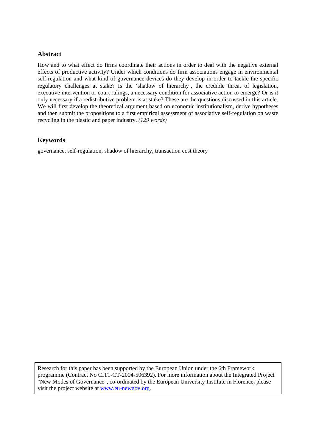## **Abstract**

How and to what effect do firms coordinate their actions in order to deal with the negative external effects of productive activity? Under which conditions do firm associations engage in environmental self-regulation and what kind of governance devices do they develop in order to tackle the specific regulatory challenges at stake? Is the 'shadow of hierarchy', the credible threat of legislation, executive intervention or court rulings, a necessary condition for associative action to emerge? Or is it only necessary if a redistributive problem is at stake? These are the questions discussed in this article. We will first develop the theoretical argument based on economic institutionalism, derive hypotheses and then submit the propositions to a first empirical assessment of associative self-regulation on waste recycling in the plastic and paper industry. *(129 words)* 

## **Keywords**

governance, self-regulation, shadow of hierarchy, transaction cost theory

Research for this paper has been supported by the European Union under the 6th Framework programme (Contract No CIT1-CT-2004-506392). For more information about the Integrated Project "New Modes of Governance", co-ordinated by the European University Institute in Florence, please visit the project website at www.eu-newgov.org.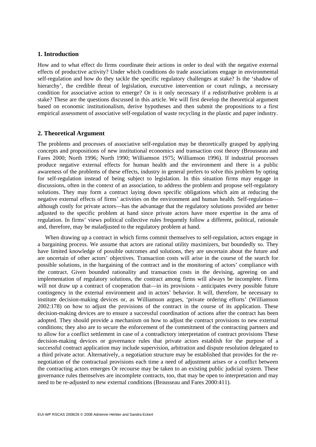#### **1. Introduction**

How and to what effect do firms coordinate their actions in order to deal with the negative external effects of productive activity? Under which conditions do trade associations engage in environmental self-regulation and how do they tackle the specific regulatory challenges at stake? Is the 'shadow of hierarchy', the credible threat of legislation, executive intervention or court rulings, a necessary condition for associative action to emerge? Or is it only necessary if a redistributive problem is at stake? These are the questions discussed in this article. We will first develop the theoretical argument based on economic institutionalism, derive hypotheses and then submit the propositions to a first empirical assessment of associative self-regulation of waste recycling in the plastic and paper industry.

#### **2. Theoretical Argument**

The problems and processes of associative self-regulation may be theoretically grasped by applying concepts and propositions of new institutional economics and transaction cost theory (Brousseau and Fares 2000; North 1996; North 1990; Williamson 1975; Williamson 1996). If industrial processes produce negative external effects for human health and the environment and there is a public awareness of the problems of these effects, industry in general prefers to solve this problem by opting for self-regulation instead of being subject to legislation. In this situation firms may engage in discussions, often in the context of an association, to address the problem and propose self-regulatory solutions. They may form a contract laying down specific obligations which aim at reducing the negative external effects of firms' activities on the environment and human health. Self-regulation although costly for private actors—has the advantage that the regulatory solutions provided are better adjusted to the specific problem at hand since private actors have more expertise in the area of regulation. In firms' views political collective rules frequently follow a different, political, rationale and, therefore, may be maladjusted to the regulatory problem at hand.

When drawing up a contract in which firms commit themselves to self-regulation, actors engage in a bargaining process. We assume that actors are rational utility maximizers, but boundedly so. They have limited knowledge of possible outcomes and solutions, they are uncertain about the future and are uncertain of other actors' objectives. Transaction costs will arise in the course of the search for possible solutions, in the bargaining of the contract and in the monitoring of actors' compliance with the contract. Given bounded rationality and transaction costs in the devising, agreeing on and implementation of regulatory solutions, the contract among firms will always be incomplete. Firms will not draw up a contract of cooperation that—in its provisions - anticipates every possible future contingency in the external environment and in actors' behavior. It will, therefore, be necessary to institute decision-making devices or, as Williamson argues, 'private ordering efforts' (Williamson 2002:178) on how to adjust the provisions of the contract in the course of its application. These decision-making devices are to ensure a successful coordination of actions after the contract has been adopted. They should provide a mechanism on how to adjust the contract provisions to new external conditions; they also are to secure the enforcement of the commitment of the contracting partners and to allow for a conflict settlement in case of a contradictory interpretation of contract provisions These decision-making devices or governance rules that private actors establish for the purpose of a successful contract application may include supervision, arbitration and dispute resolution delegated to a third private actor. Alternatively, a negotiation structure may be established that provides for the renegotiation of the contractual provisions each time a need of adjustment arises or a conflict between the contracting actors emerges Or recourse may be taken to an existing public judicial system. These governance rules themselves are incomplete contracts, too, that may be open to interpretation and may need to be re-adjusted to new external conditions (Brousseau and Fares 2000:411).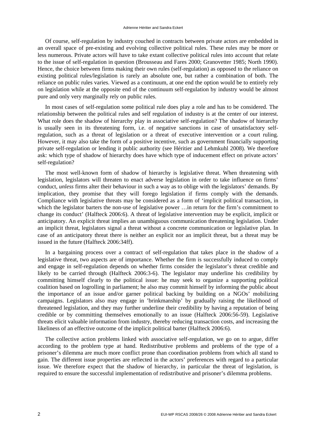Of course, self-regulation by industry couched in contracts between private actors are embedded in an overall space of pre-existing and evolving collective political rules. These rules may be more or less numerous. Private actors will have to take extant collective political rules into account that relate to the issue of self-regulation in question (Brousseau and Fares 2000; Granovetter 1985; North 1990). Hence, the choice between firms making their own rules (self-regulation) as opposed to the reliance on existing political rules/legislation is rarely an absolute one, but rather a combination of both. The reliance on public rules varies. Viewed as a continuum, at one end the option would be to entirely rely on legislation while at the opposite end of the continuum self-regulation by industry would be almost pure and only very marginally rely on public rules.

In most cases of self-regulation some political rule does play a role and has to be considered. The relationship between the political rules and self regulation of industry is at the center of our interest. What role does the shadow of hierarchy play in associative self-regulation? The shadow of hierarchy is usually seen in its threatening form, i.e. of negative sanctions in case of unsatisfactory selfregulation, such as a threat of legislation or a threat of executive intervention or a court ruling. However, it may also take the form of a positive incentive, such as government financially supporting private self-regulation or lending it public authority (see Héritier and Lehmkuhl 2008). We therefore ask: which type of shadow of hierarchy does have which type of inducement effect on private actors' self-regulation?

The most well-known form of shadow of hierarchy is legislative threat. When threatening with legislation, legislators will threaten to enact adverse legislation in order to take influence on firms' conduct, *unless* firms alter their behaviour in such a way as to oblige with the legislators' demands. By implication, they promise that they will forego legislation if firms comply with the demands. Compliance with legislative threats may be considered as a form of 'implicit political transaction, in which the legislator barters the non-use of legislative power ... in return for the firm's commitment to change its conduct' (Halfteck 2006:6). A threat of legislative intervention may be explicit, implicit or anticipatory. An explicit threat implies an unambiguous communication threatening legislation. Under an implicit threat, legislators signal a threat without a concrete communication or legislative plan. In case of an anticipatory threat there is neither an explicit nor an implicit threat, but a threat may be issued in the future (Halfteck 2006:34ff).

In a bargaining process over a contract of self-regulation that takes place in the shadow of a legislative threat, two aspects are of importance. Whether the firm is successfully induced to comply and engage in self-regulation depends on whether firms consider the legislator's threat credible and likely to be carried through (Halfteck 2006:3-6). The legislator may underline his credibility by committing himself clearly to the political issue: he may seek to organize a supporting political coalition based on logrolling in parliament; he also may commit himself by informing the public about the importance of an issue and/or garner political backing by building on a NGOs' mobilizing campaigns. Legislators also may engage in 'brinkmanship' by gradually raising the likelihood of threatened legislation, and they may further underline their credibility by having a reputation of being credible or by committing themselves emotionally to an issue (Halfteck 2006:56-59). Legislative threats elicit valuable information from industry, thereby reducing transaction costs, and increasing the likeliness of an effective outcome of the implicit political barter (Halfteck 2006:6).

The collective action problems linked with associative self-regulation, we go on to argue, differ according to the problem type at hand. Redistributive problems and problems of the type of a prisoner's dilemma are much more conflict prone than coordination problems from which all stand to gain. The different issue properties are reflected in the actors' preferences with regard to a particular issue. We therefore expect that the shadow of hierarchy, in particular the threat of legislation, is required to ensure the successful implementation of redistributive and prisoner's dilemma problems.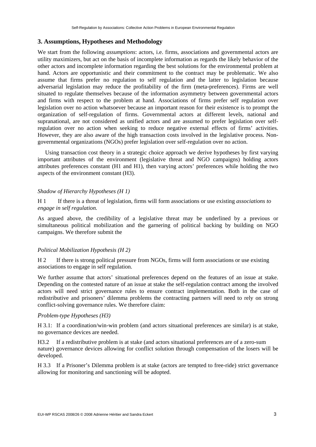## **3. Assumptions, Hypotheses and Methodology**

We start from the following *assumptions*: actors, i.e. firms, associations and governmental actors are utility maximizers, but act on the basis of incomplete information as regards the likely behavior of the other actors and incomplete information regarding the best solutions for the environmental problem at hand. Actors are opportunistic and their commitment to the contract may be problematic. We also assume that firms prefer no regulation to self regulation and the latter to legislation because adversarial legislation may reduce the profitability of the firm (meta-preferences). Firms are well situated to regulate themselves because of the information asymmetry between governmental actors and firms with respect to the problem at hand. Associations of firms prefer self regulation over legislation over no action whatsoever because an important reason for their existence is to prompt the organization of self-regulation of firms. Governmental actors at different levels, national and supranational, are not considered as unified actors and are assumed to prefer legislation over selfregulation over no action when seeking to reduce negative external effects of firms' activities. However, they are also aware of the high transaction costs involved in the legislative process. Nongovernmental organizations (NGOs) prefer legislation over self-regulation over no action.

Using transaction cost theory in a strategic choice approach we derive hypotheses by first varying important attributes of the environment (legislative threat and NGO campaigns) holding actors attributes preferences constant (H1 and H1), then varying actors' preferences while holding the two aspects of the environment constant (H3).

#### *Shadow of Hierarchy Hypotheses (H 1)*

H 1 If there is a threat of legislation, firms will form associations or use existing *associations to engage in self regulation.* 

As argued above, the credibility of a legislative threat may be underlined by a previous or simultaneous political mobilization and the garnering of political backing by building on NGO campaigns. We therefore submit the

#### *Political Mobilization Hypothesis (H 2)*

H 2 If there is strong political pressure from NGOs, firms will form associations or use existing associations to engage in self regulation.

We further assume that actors' situational preferences depend on the features of an issue at stake. Depending on the contested nature of an issue at stake the self-regulation contract among the involved actors will need strict governance rules to ensure contract implementation. Both in the case of redistributive and prisoners' dilemma problems the contracting partners will need to rely on strong conflict-solving governance rules. We therefore claim:

#### *Problem-type Hypotheses (H3)*

H 3.1: If a coordination/win-win problem (and actors situational preferences are similar) is at stake, no governance devices are needed.

H3.2 If a redistributive problem is at stake (and actors situational preferences are of a zero-sum nature) governance devices allowing for conflict solution through compensation of the losers will be developed.

H 3.3 If a Prisoner's Dilemma problem is at stake (actors are tempted to free-ride) strict governance allowing for monitoring and sanctioning will be adopted.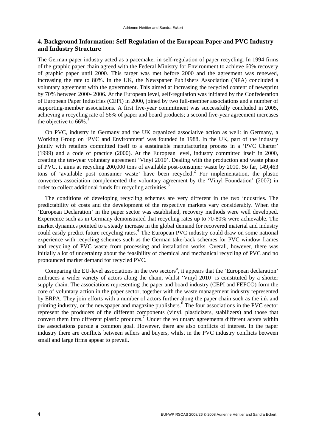## **4. Background Information: Self-Regulation of the European Paper and PVC Industry and Industry Structure**

The German paper industry acted as a pacemaker in self-regulation of paper recycling. In 1994 firms of the graphic paper chain agreed with the Federal Ministry for Environment to achieve 60% recovery of graphic paper until 2000. This target was met before 2000 and the agreement was renewed, increasing the rate to 80%. In the UK, the Newspaper Publishers Association (NPA) concluded a voluntary agreement with the government. This aimed at increasing the recycled content of newsprint by 70% between 2000- 2006. At the European level, self-regulation was initiated by the Confederation of European Paper Industries (CEPI) in 2000, joined by two full-member associations and a number of supporting-member associations. A first five-year commitment was successfully concluded in 2005, achieving a recycling rate of 56% of paper and board products; a second five-year agreement increases the objective to  $66\%$ .

On PVC, industry in Germany and the UK organized associative action as well: in Germany, a Working Group on 'PVC and Environment' was founded in 1988. In the UK, part of the industry jointly with retailers committed itself to a sustainable manufacturing process in a 'PVC Charter' (1999) and a code of practice (2000). At the European level, industry committed itself in 2000, creating the ten-year voluntary agreement 'Vinyl 2010'. Dealing with the production and waste phase of PVC, it aims at recycling 200,000 tons of available post-consumer waste by 2010. So far, 149,463 tons of 'available post consumer waste' have been recycled.<sup>2</sup> For implementation, the plastic converters association complemented the voluntary agreement by the 'Vinyl Foundation' (2007) in order to collect additional funds for recycling activities.<sup>3</sup>

The conditions of developing recycling schemes are very different in the two industries. The predictability of costs and the development of the respective markets vary considerably. When the 'European Declaration' in the paper sector was established, recovery methods were well developed. Experience such as in Germany demonstrated that recycling rates up to 70-80% were achievable. The market dynamics pointed to a steady increase in the global demand for recovered material and industry could easily predict future recycling rates.<sup>4</sup> The European PVC industry could draw on some national experience with recycling schemes such as the German take-back schemes for PVC window frames and recycling of PVC waste from processing and installation works. Overall, however, there was initially a lot of uncertainty about the feasibility of chemical and mechanical recycling of PVC and no pronounced market demand for recycled PVC.

Comparing the EU-level associations in the two sectors<sup>5</sup>, it appears that the 'European declaration' embraces a wider variety of actors along the chain, whilst 'Vinyl 2010' is constituted by a shorter supply chain. The associations representing the paper and board industry (CEPI and FEFCO) form the core of voluntary action in the paper sector, together with the waste management industry represented by ERPA. They join efforts with a number of actors further along the paper chain such as the ink and printing industry, or the newspaper and magazine publishers.  $6\degree$  The four associations in the PVC sector represent the producers of the different components (vinyl, plasticizers, stabilizers) and those that convert them into different plastic products.<sup>7</sup> Under the voluntary agreements different actors within the associations pursue a common goal. However, there are also conflicts of interest. In the paper industry there are conflicts between sellers and buyers, whilst in the PVC industry conflicts between small and large firms appear to prevail.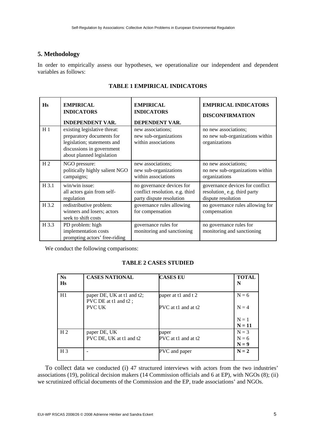## **5. Methodology**

In order to empirically assess our hypotheses, we operationalize our independent and dependent variables as follows:

| <b>Hs</b>      | <b>EMPIRICAL</b><br><b>INDICATORS</b><br><b>INDEPENDENT VAR.</b>                                                                                   | <b>EMPIRICAL</b><br><b>INDICATORS</b><br>DEPENDENT VAR.                                  | <b>EMPIRICAL INDICATORS</b><br><b>DISCONFIRMATION</b>                                 |  |
|----------------|----------------------------------------------------------------------------------------------------------------------------------------------------|------------------------------------------------------------------------------------------|---------------------------------------------------------------------------------------|--|
| H <sub>1</sub> | existing legislative threat:<br>preparatory documents for<br>legislation; statements and<br>discussions in government<br>about planned legislation | new associations;<br>new sub-organizations<br>within associations                        | no new associations;<br>no new sub-organizations within<br>organizations              |  |
| H <sub>2</sub> | NGO pressure:<br>politically highly salient NGO<br>campaigns;                                                                                      | new associations;<br>new sub-organizations<br>within associations                        | no new associations;<br>no new sub-organizations within<br>organizations              |  |
| H 3.1          | win/win issue:<br>all actors gain from self-<br>regulation                                                                                         | no governance devices for<br>conflict resolution. e.g. third<br>party dispute resolution | governance devices for conflict<br>resolution, e.g. third party<br>dispute resolution |  |
| H 3.2          | redistributive problem:<br>winners and losers; actors<br>seek to shift costs                                                                       | governance rules allowing<br>for compensation                                            | no governance rules allowing for<br>compensation                                      |  |
| H 3.3          | PD problem: high<br>implementation costs<br>prompting actors' free-riding                                                                          | governance rules for<br>monitoring and sanctioning                                       | no governance rules for<br>monitoring and sanctioning                                 |  |

## **TABLE 1 EMPIRICAL INDICATORS**

We conduct the following comparisons:

## **TABLE 2 CASES STUDIED**

| <b>Ns</b><br>Hs | <b>CASES NATIONAL</b>                                               | <b>CASES EU</b>                            | <b>TOTAL</b><br>N             |
|-----------------|---------------------------------------------------------------------|--------------------------------------------|-------------------------------|
| H1              | paper DE, UK at t1 and t2;<br>PVC DE at t1 and t2;<br><b>PVC UK</b> | paper at t1 and t 2<br>PVC at t1 and at t2 | $N = 6$<br>$N = 4$            |
|                 |                                                                     |                                            | $N = 1$<br>$N = 11$           |
| H <sub>2</sub>  | paper DE, UK<br>PVC DE, UK at t1 and t2                             | paper<br>PVC at t1 and at t2               | $N = 3$<br>$N = 6$<br>$N = 9$ |
| H <sub>3</sub>  |                                                                     | PVC and paper                              | $N = 2$                       |

To collect data we conducted (i) 47 structured interviews with actors from the two industries' associations (19), political decision makers (14 Commission officials and 6 at EP), with NGOs (8); (ii) we scrutinized official documents of the Commission and the EP, trade associations' and NGOs.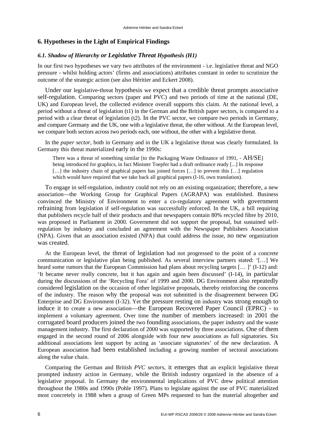## **6. Hypotheses in the Light of Empirical Findings**

#### *6.1. Shadow of Hierarchy or Legislative Threat Hypothesis (H1)*

In our first two hypotheses we vary two attributes of the environment - i.e. legislative threat and NGO pressure - whilst holding actors' (firms and associations) attributes constant in order to scrutinize the outcome of the strategic action (see also Héritier and Eckert 2008).

Under our legislative-threat hypothesis we expect that a credible threat prompts associative self-regulation. Comparing sectors (paper and PVC) and two periods of time at the national (DE, UK) and European level, the collected evidence overall supports this claim. At the national level, a period without a threat of legislation (t1) in the German and the British paper sectors, is compared to a period with a clear threat of legislation (t2). In the PVC sector, we compare two periods in Germany, and compare Germany and the UK, one with a legislative threat, the other without. At the European level, we compare both sectors across two periods each, one without, the other with a legislative threat.

In the *paper sector*, both in Germany and in the UK a legislative threat was clearly formulated. In Germany this threat materialized early in the 1990s:

There was a threat of something similar [to the Packaging Waste Ordinance of 1991, - AH/SE] being introduced for graphics, in fact Minister Toepfer had a draft ordinance ready [...] In response [...] the industry chain of graphical papers has joined forces [...] to prevent this [...] regulation which would have required that we take back all graphical papers (I-16, own translation).

To engage in self-regulation, industry could not rely on an existing organization; therefore, a new association—the Working Group for Graphical Papers (AGRAPA) was established. Business convinced the Ministry of Environment to enter a co-regulatory agreement with government refraining from legislation if self-regulation was successfully enforced. In the UK, a bill requiring that publishers recycle half of their products and that newspapers contain 80% recycled fibre by 2010, was proposed in Parliament in 2000. Government did not support the proposal, but sustained selfregulation by industry and concluded an agreement with the Newspaper Publishers Association (NPA). Given that an association existed (NPA) that could address the issue, no new organization was created.

At the European level, the threat of legislation had not progressed to the point of a concrete communication or legislative plan being published. As several interview partners stated: '[…] We heard some rumors that the European Commission had plans about recycling targets [...]' (I-12) and: 'It became never really concrete, but it has again and again been discussed' (I-14), in particular during the discussions of the 'Recycling Fora' of 1999 and 2000. DG Environment also repeatedly considered legislation on the occasion of other legislative proposals, thereby reinforcing the concerns of the industry. The reason why the proposal was not submitted is the disagreement between DG Enterprise and DG Environment (I-32). Yet the pressure resting on industry was strong enough to induce it to create a new association—the European Recovered Paper Council (EPRC) - to implement a voluntary agreement. Over time the number of members increased: in 2001 the corrugated board producers joined the two founding associations, the paper industry and the waste management industry. The first declaration of 2000 was supported by three associations. One of them engaged in the second round of 2006 alongside with four new associations as full signatories. Six additional associations lent support by acting as 'associate signatories' of the new declaration. A European association had been established including a growing number of sectoral associations along the value chain.

Comparing the German and British *PVC sectors*, it emerges that an explicit legislative threat prompted industry action in Germany, while the British industry organized in the absence of a legislative proposal. In Germany the environmental implications of PVC drew political attention throughout the 1980s and 1990s (Pohle 1997). Plans to legislate against the use of PVC materialized most concretely in 1988 when a group of Green MPs requested to ban the material altogether and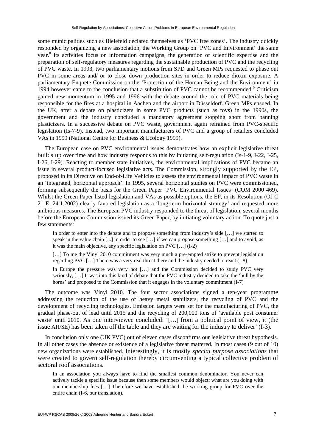some municipalities such as Bielefeld declared themselves as 'PVC free zones'. The industry quickly responded by organizing a new association, the Working Group on 'PVC and Environment' the same year.<sup>8</sup> Its activities focus on information campaigns, the generation of scientific expertise and the preparation of self-regulatory measures regarding the sustainable production of PVC and the recycling of PVC waste. In 1993, two parliamentary motions from SPD and Green MPs requested to phase out PVC in some areas and/ or to close down production sites in order to reduce dioxin exposure. A parliamentary Enquete Commission on the 'Protection of the Human Being and the Environment' in 1994 however came to the conclusion that a substitution of PVC cannot be recommended.<sup>9</sup> Criticism gained new momentum in 1995 and 1996 with the debate around the role of PVC materials being responsible for the fires at a hospital in Aachen and the airport in Düsseldorf. Green MPs ensued. In the UK, after a debate on plasticizers in some PVC products (such as toys) in the 1990s, the government and the industry concluded a mandatory agreement stopping short from banning plasticizers. In a successive debate on PVC waste, government again refrained from PVC-specific legislation (Is-7-9). Instead, two important manufacturers of PVC and a group of retailers concluded VAs in 1999 (National Centre for Business & Ecology 1999).

The European case on PVC environmental issues demonstrates how an explicit legislative threat builds up over time and how industry responds to this by initiating self-regulation (Is-1-9, I-22, I-25, I-26, I-29). Reacting to member state initiatives, the environmental implications of PVC became an issue in several product-focused legislative acts. The Commission, strongly supported by the EP, proposed in its Directive on End-of-Life Vehicles to assess the environmental impact of PVC waste in an 'integrated, horizontal approach'. In 1995, several horizontal studies on PVC were commissioned, forming subsequently the basis for the Green Paper 'PVC Environmental Issues' (COM 2000 469). Whilst the Green Paper listed legislation and VAs as possible options, the EP, in its Resolution (OJ C 21 E, 24.1.2002) clearly favored legislation as a 'long-term horizontal strategy' and requested more ambitious measures. The European PVC industry responded to the threat of legislation, several months before the European Commission issued its Green Paper, by initiating voluntary action. To quote just a few statements:

In order to enter into the debate and to propose something from industry's side […] we started to speak in the value chain  $[\dots]$  in order to see  $[\dots]$  if we can propose something  $[\dots]$  and to avoid, as it was the main objective, any specific legislation on PVC […] (I-2)

[...] To me the Vinyl 2010 commitment was very much a pre-empted strike to prevent legislation regarding PVC […] There was a very real threat there and the industry needed to react (I-8)

In Europe the pressure was very hot […] and the Commission decided to study PVC very seriously, […] It was into this kind of debate that the PVC industry decided to take the 'bull by the horns' and proposed to the Commission that it engages in the voluntary commitment (I-7)

The outcome was Vinyl 2010. The four sector associations signed a ten-year programme addressing the reduction of the use of heavy metal stabilizers, the recycling of PVC and the development of recycling technologies. Emission targets were set for the manufacturing of PVC, the gradual phase-out of lead until 2015 and the recycling of 200,000 tons of 'available post consumer waste' until 2010. As one interviewee concluded: '[...] from a political point of view, it (the issue AH/SE) has been taken off the table and they are waiting for the industry to deliver' (I-3).

In conclusion only one (UK PVC) out of eleven cases disconfirms our legislative threat hypothesis. In all other cases the absence or existence of a legislative threat mattered. In most cases (9 out of 10) new organizations were established. Interestingly, it is mostly *special purpose associations* that were created to govern self-regulation thereby circumventing a typical collective problem of sectoral roof associations.

In an association you always have to find the smallest common denominator. You never can actively tackle a specific issue because then some members would object: what are you doing with our membership fees […] Therefore we have established the working group for PVC over the entire chain (I-6, our translation).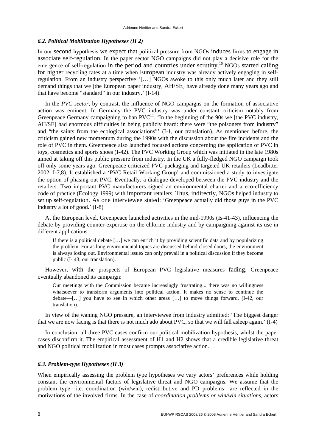#### *6.2. Political Mobilization Hypotheses (H 2)*

In our second hypothesis we expect that political pressure from NGOs induces firms to engage in associate self-regulation. In the paper sector NGO campaigns did not play a decisive role for the emergence of self-regulation in the period and countries under scrutiny.<sup>10</sup> NGOs started calling for higher recycling rates at a time when European industry was already actively engaging in selfregulation. From an industry perspective '[…] NGOs awoke to this only much later and they still demand things that we [the European paper industry, AH/SE] have already done many years ago and that have become "standard" in our industry.' (I-14).

In the *PVC sector,* by contrast, the influence of NGO campaigns on the formation of associative action was eminent. In Germany the PVC industry was under constant criticism notably from Greenpeace Germany campaigning to ban  $PVC<sup>11</sup>$ . 'In the beginning of the 90s we [the PVC industry, AH/SE] had enormous difficulties in being publicly heard: there were "the poisoners from industry" and "the saints from the ecological associations"' (I-1, our translation). As mentioned before, the criticism gained new momentum during the 1990s with the discussion about the fire incidents and the role of PVC in them. Greenpeace also launched focused actions concerning the application of PVC in toys, cosmetics and sports shoes (I-42). The PVC Working Group which was initiated in the late 1980s aimed at taking off this public pressure from industry. In the UK a fully-fledged NGO campaign took off only some years ago. Greenpeace criticized PVC packaging and targeted UK retailers (Leadbitter 2002, I-7,8). It established a 'PVC Retail Working Group' and commissioned a study to investigate the option of phasing out PVC. Eventually, a dialogue developed between the PVC industry and the retailers. Two important PVC manufacturers signed an environmental charter and a eco-efficiency code of practice (Ecology 1999) with important retailers. Thus, indirectly, NGOs helped industry to set up self-regulation. As one interviewee stated: 'Greenpeace actually did those guys in the PVC industry a lot of good.' (I-8)

At the European level, Greenpeace launched activities in the mid-1990s (Is-41-43), influencing the debate by providing counter-expertise on the chlorine industry and by campaigning against its use in different applications:

If there is a political debate […] we can enrich it by providing scientific data and by popularizing the problem. For as long environmental topics are discussed behind closed doors, the environment is always losing out. Environmental issues can only prevail in a political discussion if they become public (I- 43; our translation).

However, with the prospects of European PVC legislative measures fading, Greenpeace eventually abandoned its campaign:

Our meetings with the Commission became increasingly frustrating... there was no willingness whatsoever to transform arguments into political action. It makes no sense to continue the debate—[…] you have to see in which other areas […] to move things forward. (I-42, our translation).

In view of the waning NGO pressure, an interviewee from industry admitted: 'The biggest danger that we are now facing is that there is not much ado about PVC, so that we will fall asleep again.' (I-4)

In conclusion, all three PVC cases confirm our political mobilization hypothesis, whilst the paper cases disconfirm it. The empirical assessment of H1 and H2 shows that a credible legislative threat and NGO political mobilization in most cases prompts associative action.

#### *6.3. Problem-type Hypotheses (H 3)*

When empirically assessing the problem type hypotheses we vary actors' preferences while holding constant the environmental factors of legislative threat and NGO campaigns. We assume that the problem type—i.e. coordination (win/win), redistributive and PD problems—are reflected in the motivations of the involved firms. In the case of *coordination problems or win/win situations*, actors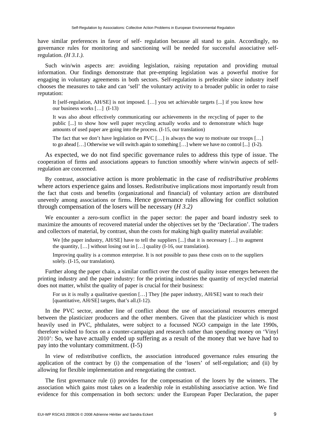have similar preferences in favor of self- regulation because all stand to gain. Accordingly, no governance rules for monitoring and sanctioning will be needed for successful associative selfregulation. *(H 3.1.).* 

Such win/win aspects are: avoiding legislation, raising reputation and providing mutual information. Our findings demonstrate that pre-empting legislation was a powerful motive for engaging in voluntary agreements in both sectors. Self-regulation is preferable since industry itself chooses the measures to take and can 'sell' the voluntary activity to a broader public in order to raise reputation:

It [self-regulation, AH/SE] is not imposed. […] you set achievable targets [...] if you know how our business works […] (I-13)

It was also about effectively communicating our achievements in the recycling of paper to the public [...] to show how well paper recycling actually works and to demonstrate which huge amounts of used paper are going into the process. (I-15, our translation)

The fact that we don't have legislation on PVC  $[\ldots]$  is always the way to motivate our troops  $[\ldots]$ to go ahead […] Otherwise we will switch again to something […] where we have no control [...] (I-2).

As expected, we do not find specific governance rules to address this type of issue. The cooperation of firms and associations appears to function smoothly where win/win aspects of selfregulation are concerned.

By contrast, associative action is more problematic in the case of *redistributive problems* where actors experience gains and losses. Redistributive implications most importantly result from the fact that costs and benefits (organizational and financial) of voluntary action are distributed unevenly among associations or firms. Hence governance rules allowing for conflict solution through compensation of the losers will be necessary (*H 3.2)*

We encounter a zero-sum conflict in the paper sector: the paper and board industry seek to maximize the amounts of recovered material under the objectives set by the 'Declaration'. The traders and collectors of material, by contrast, shun the costs for making high quality material available:

We [the paper industry, AH/SE] have to tell the suppliers [...] that it is necessary [...] to augment the quantity, […] without losing out in […] quality (I-16, our translation).

Improving quality is a common enterprise. It is not possible to pass these costs on to the suppliers solely. (I-15, our translation).

Further along the paper chain, a similar conflict over the cost of quality issue emerges between the printing industry and the paper industry: for the printing industries the quantity of recycled material does not matter, whilst the quality of paper is crucial for their business:

For us it is really a qualitative question […] They [the paper industry, AH/SE] want to reach their [quantitative, AH/SE] targets, that's all.(I-12).

In the PVC sector, another line of conflict about the use of associational resources emerged between the plasticizer producers and the other members. Given that the plasticizer which is most heavily used in PVC, phthalates, were subject to a focussed NGO campaign in the late 1990s, therefore wished to focus on a counter-campaign and research rather than spending money on 'Vinyl 2010': So, we have actually ended up suffering as a result of the money that we have had to pay into the voluntary commitment. (I-5)

In view of redistributive conflicts, the association introduced governance rules ensuring the application of the contract by (i) the compensation of the 'losers' of self-regulation; and (ii) by allowing for flexible implementation and renegotiating the contract.

The first governance rule (i) provides for the compensation of the losers by the winners. The association which gains most takes on a leadership role in establishing associative action. We find evidence for this compensation in both sectors: under the European Paper Declaration, the paper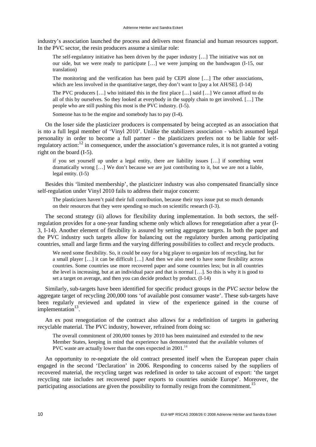industry's association launched the process and delivers most financial and human resources support. In the PVC sector, the resin producers assume a similar role:

The self-regulatory initiative has been driven by the paper industry […] The initiative was not on our side, but we were ready to participate […] we were jumping on the bandwagon (I-15, our translation)

The monitoring and the verification has been paid by CEPI alone […] The other associations, which are less involved in the quantitative target, they don't want to [pay a lot AH/SE]. (I-14)

The PVC producers […] who initiated this in the first place […] said […] We cannot afford to do all of this by ourselves. So they looked at everybody in the supply chain to get involved. […] The people who are still pushing this most is the PVC industry. (I-5).

Someone has to be the engine and somebody has to pay (I-4).

On the loser side the plasticizer producers is compensated by being accepted as an association that is nto a full legal member of 'Vinyl 2010'. Unlike the stabilizers association - which assumed legal personality in order to become a full partner - the plasticizers prefers not to be liable for selfregulatory action: $^{12}$  in consequence, under the association's governance rules, it is not granted a voting right on the board (I-5).

if you set yourself up under a legal entity, there are liability issues […] if something went dramatically wrong […] We don't because we are just contributing to it, but we are not a liable, legal entity. (I-5)

Besides this 'limited membership', the plasticizer industry was also compensated financially since self-regulation under Vinyl 2010 fails to address their major concern:

The plasticizers haven't paid their full contribution, because their toys issue put so much demands on their resources that they were spending so much on scientific research (I-3).

The second strategy (ii) allows for flexibility during implementation. In both sectors, the selfregulation provides for a one-year funding scheme only which allows for renegotiation after a year (I-3, I-14). Another element of flexibility is assured by setting aggregate targets. In both the paper and the PVC industry such targets allow for balancing out the regulatory burden among participating countries, small and large firms and the varying differing possibilities to collect and recycle products.

We need some flexibility. So, it could be easy for a big player to organize lots of recycling, but for a small player […] it can be difficult […] And then we also need to have some flexibility across countries. Some countries use more recovered paper and some countries less; but in all countries the level is increasing, but at an individual pace and that is normal […]. So this is why it is good to set a target on average, and then you can decide product by product.  $(I-14)$ 

Similarly, sub-targets have been identified for specific product groups in the *PVC sector* below the aggregate target of recycling 200,000 tons 'of available post consumer waste'. These sub-targets have been regularly reviewed and updated in view of the experience gained in the course of implementation $13$ .

An ex post renegotiation of the contract also allows for a redefinition of targets in gathering recyclable material. The PVC industry, however, refrained from doing so:

The overall commitment of 200,000 tonnes by 2010 has been maintained and extended to the new Member States, keeping in mind that experience has demonstrated that the available volumes of PVC waste are actually lower than the ones expected in 2001.<sup>14</sup>

An opportunity to re-negotiate the old contract presented itself when the European paper chain engaged in the second 'Declaration' in 2006. Responding to concerns raised by the suppliers of recovered material, the recycling target was redefined in order to take account of export: 'the target recycling rate includes net recovered paper exports to countries outside Europe'. Moreover, the participating associations are given the possibility to formally resign from the commitment.<sup>15</sup>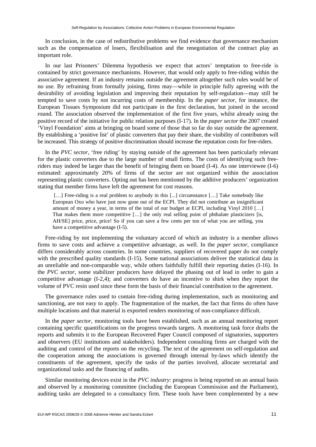In conclusion, in the case of redistributive problems we find evidence that governance mechanism such as the compensation of losers, flexibilisation and the renegotiation of the contract play an important role.

In our last Prisoners' Dilemma hypothesis we expect that actors' temptation to free-ride is contained by strict governance mechanisms. However, that would only apply to free-riding within the associative agreement. If an industry remains outside the agreement altogether such rules would be of no use. By refraining from formally joining, firms may—while in principle fully agreeing with the desirability of avoiding legislation and improving their reputation by self-regulation—may still be tempted to save costs by not incurring costs of membership. In the *paper sector,* for instance*,* the European Tissues Symposium did not participate in the first declaration, but joined in the second round. The association observed the implementation of the first five years, whilst already using the positive record of the initiative for public relation purposes (I-17). In the *paper sector* the 2007 created 'Vinyl Foundation' aims at bringing on board some of those that so far do stay outside the agreement. By establishing a 'positive list' of plastic converters that pay their share, the visibility of contributors will be increased. This strategy of positive discrimination should increase the reputation costs for free-riders.

In the *PVC sector*, 'free riding' by staying outside of the agreement has been particularly relevant for the plastic converters due to the large number of small firms. The costs of identifying such freeriders may indeed be larger than the benefit of bringing them on board (I-4). As one interviewee (I-6) estimated: approximately 20% of firms of the sector are not organized within the association representing plastic converters. Opting out has been mentioned by the additive producers' organization stating that member firms have left the agreement for cost reasons.

[...] Free-riding is a real problem to anybody in this [...] circumstance [...] Take somebody like European Oxo who have just now gone out of the ECPI. They did not contribute an insignificant amount of money a year, in terms of the total of our budget at ECPI, including Vinyl 2010 […] That makes them more competitive […] the only real selling point of phthalate plasticizers [is, AH/SE] price, price, price! So if you can save a few cents per ton of what you are selling, you have a competitive advantage  $(I-5)$ .

Free-riding by not implementing the voluntary accord of which an industry is a member allows firms to save costs and achieve a competitive advantage, as well. In the *paper sector*, compliance differs considerably across countries. In some countries, suppliers of recovered paper do not comply with the prescribed quality standards (I-15). Some national associations deliver the statistical data in an unreliable and non-comparable way, while others faithfully fulfill their reporting duties (I-16). In the *PVC sector*, some stabilizer producers have delayed the phasing out of lead in order to gain a competitive advantage (I-2,4); and converters do have an incentive to shirk when they report the volume of PVC resin used since these form the basis of their financial contribution to the agreement.

The governance rules used to contain free-riding during implementation, such as monitoring and sanctioning, are not easy to apply. The fragmentation of the market, the fact that firms do often have multiple locations and that material is exported renders monitoring of non-compliance difficult.

In the *paper sector,* monitoring tools have been established, such as an annual monitoring report containing specific quantifications on the progress towards targets. A monitoring task force drafts the reports and submits it to the European Recovered Paper Council composed of signatories, supporters and observers (EU institutions and stakeholders). Independent consulting firms are charged with the auditing and control of the reports on the recycling. The text of the agreement on self-regulation and the cooperation among the associations is governed through internal by-laws which identify the constituents of the agreement, specify the tasks of the parties involved, allocate secretarial and organizational tasks and the financing of audits.

Similar monitoring devices exist in the *PVC industry*: progress is being reported on an annual basis and observed by a monitoring committee (including the European Commission and the Parliament), auditing tasks are delegated to a consultancy firm. These tools have been complemented by a new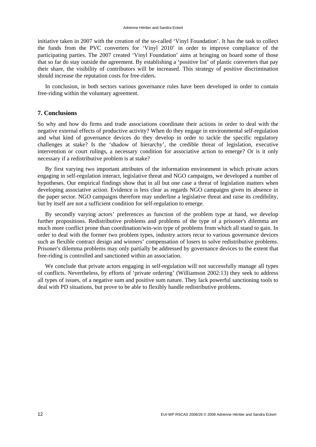initiative taken in 2007 with the creation of the so-called 'Vinyl Foundation'. It has the task to collect the funds from the PVC converters for 'Vinyl 2010' in order to improve compliance of the participating parties. The 2007 created 'Vinyl Foundation' aims at bringing on board some of those that so far do stay outside the agreement. By establishing a 'positive list' of plastic converters that pay their share, the visibility of contributors will be increased. This strategy of positive discrimination should increase the reputation costs for free-riders.

In conclusion, in both sectors various governance rules have been developed in order to contain free-riding within the voluntary agreement.

## **7. Conclusions**

So why and how do firms and trade associations coordinate their actions in order to deal with the negative external effects of productive activity? When do they engage in environmental self-regulation and what kind of governance devices do they develop in order to tackle the specific regulatory challenges at stake? Is the 'shadow of hierarchy', the credible threat of legislation, executive intervention or court rulings, a necessary condition for associative action to emerge? Or is it only necessary if a redistributive problem is at stake?

By first varying two important attributes of the information environment in which private actors engaging in self-regulation interact, legislative threat and NGO campaigns, we developed a number of hypotheses. Our empirical findings show that in all but one case a threat of legislation matters when developing associative action. Evidence is less clear as regards NGO campaigns given its absence in the paper sector. NGO campaigns therefore may underline a legislative threat and raise its credibility, but by itself are not a sufficient condition for self-regulation to emerge.

By secondly varying actors' preferences as function of the problem type at hand, we develop further propositions. Redistributive problems and problems of the type of a prisoner's dilemma are much more conflict prone than coordination/win-win type of problems from which all stand to gain. In order to deal with the former two problem types, industry actors recur to various governance devices such as flexible contract design and winners' compensation of losers to solve redistributive problems. Prisoner's dilemma problems may only partially be addressed by governance devices to the extent that free-riding is controlled and sanctioned within an association.

We conclude that private actors engaging in self-regulation will not successfully manage all types of conflicts. Nevertheless, by efforts of 'private ordering' (Williamson 2002:13) they seek to address all types of issues, of a negative sum and positive sum nature. They lack powerful sanctioning tools to deal with PD situations, but prove to be able to flexibly handle redistributive problems.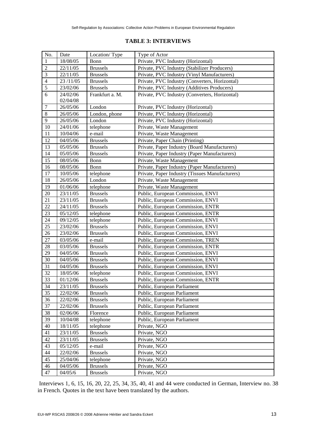| No.            | Date     | Location/Type   | Type of Actor                                   |
|----------------|----------|-----------------|-------------------------------------------------|
| 1              | 18/08/05 | Bonn            | Private, PVC Industry (Horizontal)              |
| $\overline{2}$ | 22/11/05 | <b>Brussels</b> | Private, PVC Industry (Stabilizer Producers)    |
| $\mathfrak{Z}$ | 22/11/05 | <b>Brussels</b> | Private, PVC Industry (Vinyl Manufacturers)     |
| $\overline{4}$ | 23/11/05 | <b>Brussels</b> | Private, PVC Industry (Converters, Horizontal)  |
| 5              | 23/02/06 | <b>Brussels</b> | Private, PVC Industry (Additives Producers)     |
| 6              | 24/02/06 | Frankfurt a. M. | Private, PVC Industry (Converters, Horizontal)  |
|                | 02/04/08 |                 |                                                 |
| 7              | 26/05/06 | London          | Private, PVC Industry (Horizontal)              |
| $\,8\,$        | 26/05/06 | London, phone   | Private, PVC Industry (Horizontal)              |
| 9              | 26/05/06 | London          | Private, PVC Industry (Horizontal)              |
| 10             | 24/01/06 | telephone       | Private, Waste Management                       |
| 11             | 10/04/06 | e-mail          | Private, Waste Management                       |
| 12             | 04/05/06 | <b>Brussels</b> | Private, Paper Chain (Printing)                 |
| 13             | 05/05/06 | <b>Brussels</b> | Private, Paper Industry (Board Manufacturers)   |
| 14             | 05/05/06 | <b>Brussels</b> | Private, Paper Industry (Paper Manufacturers)   |
| 15             | 08/05/06 | Bonn            | Private, Waste Management                       |
| 16             | 08/05/06 | Bonn            | Private, Paper Industry (Paper Manufacturers)   |
| 17             | 10/05/06 | telephone       | Private, Paper Industry (Tissues Manufacturers) |
| 18             | 26/05/06 | London          | Private, Waste Management                       |
| 19             | 01/06/06 | telephone       | Private, Waste Management                       |
| 20             | 23/11/05 | <b>Brussels</b> | Public, European Commission, ENVI               |
| 21             | 23/11/05 | <b>Brussels</b> | Public, European Commission, ENVI               |
| 22             | 24/11/05 | <b>Brussels</b> | Public, European Commission, ENTR               |
| 23             | 05/12/05 | telephone       | Public, European Commission, ENTR               |
| 24             | 09/12/05 | telephone       | Public, European Commission, ENVI               |
| 25             | 23/02/06 | <b>Brussels</b> | Public, European Commission, ENVI               |
| 26             | 23/02/06 | <b>Brussels</b> | Public, European Commission, ENVI               |
| 27             | 03/05/06 | e-mail          | Public, European Commission, TREN               |
| 28             | 03/05/06 | <b>Brussels</b> | Public, European Commission, ENTR               |
| 29             | 04/05/06 | <b>Brussels</b> | Public, European Commission, ENVI               |
| 30             | 04/05/06 | <b>Brussels</b> | Public, European Commission, ENVI               |
| 31             | 04/05/06 | <b>Brussels</b> | Public, European Commission, ENVI               |
| 32             | 18/05/06 | telephone       | Public, European Commission, ENVI               |
| 33             | 01/12/06 | <b>Brussels</b> | Public, European Commission, ENTR               |
| 34             | 23/11/05 | <b>Brussels</b> | Public, European Parliament                     |
| 35             | 22/02/06 | <b>Brussels</b> | Public, European Parliament                     |
| 36             | 22/02/06 | <b>Brussels</b> | Public, European Parliament                     |
| 37             | 22/02/06 | <b>Brussels</b> | Public, European Parliament                     |
| 38             | 02/06/06 | Florence        | Public, European Parliament                     |
| 39             | 10/04/08 | telephone       | Public, European Parliament                     |
| 40             | 18/11/05 | telephone       | Private, NGO                                    |
| 41             | 23/11/05 | <b>Brussels</b> | Private, NGO                                    |
| 42             | 23/11/05 | <b>Brussels</b> | Private, NGO                                    |
| 43             | 05/12/05 | e-mail          | Private, NGO                                    |
| 44             | 22/02/06 | <b>Brussels</b> | Private, NGO                                    |
| 45             | 25/04/06 | telephone       | Private, NGO                                    |
| 46             | 04/05/06 | <b>Brussels</b> | Private, NGO                                    |
| 47             | 04/05/6  | <b>Brussels</b> | Private, NGO                                    |

## **TABLE 3: INTERVIEWS**

 Interviews 1, 6, 15, 16, 20, 22, 25, 34, 35, 40, 41 and 44 were conducted in German, Interview no. 38 in French. Quotes in the text have been translated by the authors.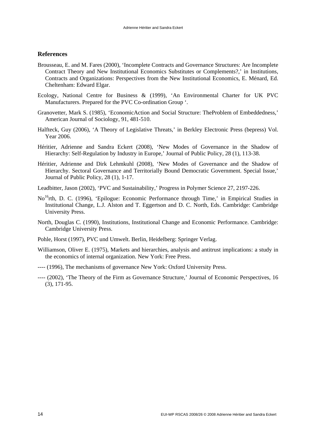#### **References**

- Brousseau, E. and M. Fares (2000), 'Incomplete Contracts and Governance Structures: Are Incomplete Contract Theory and New Institutional Economics Substitutes or Complements?,' in Institutions, Contracts and Organizations: Perspectives from the New Institutional Economics, E. Ménard, Ed. Cheltenham: Edward Elgar.
- Ecology, National Centre for Business & (1999), 'An Environmental Charter for UK PVC Manufacturers. Prepared for the PVC Co-ordination Group '.
- Granovetter, Mark S. (1985), 'EconomicAction and Social Structure: TheProblem of Embeddedness,' American Journal of Sociology, 91, 481-510.
- Halfteck, Guy (2006), 'A Theory of Legislative Threats,' in Berkley Electronic Press (bepress) Vol. Year 2006.
- Héritier, Adrienne and Sandra Eckert (2008), 'New Modes of Governance in the Shadow of Hierarchy: Self-Regulation by Industry in Europe,' Journal of Public Policy, 28 (1), 113-38.
- Héritier, Adrienne and Dirk Lehmkuhl (2008), 'New Modes of Governance and the Shadow of Hierarchy. Sectoral Governance and Territorially Bound Democratic Government. Special Issue,' Journal of Public Policy, 28 (1), 1-17.
- Leadbitter, Jason (2002), 'PVC and Sustainability,' Progress in Polymer Science 27, 2197-226.
- No<sup>16</sup>rth, D. C. (1996), 'Epilogue: Economic Performance through Time,' in Empirical Studies in Institutional Change, L.J. Alston and T. Eggertson and D. C. North, Eds. Cambridge: Cambridge University Press.
- North, Douglas C. (1990), Institutions, Institutional Change and Economic Performance. Cambridge: Cambridge University Press.
- Pohle, Horst (1997), PVC und Umwelt. Berlin, Heidelberg: Springer Verlag.
- Williamson, Oliver E. (1975), Markets and hierarchies, analysis and antitrust implications: a study in the economics of internal organization. New York: Free Press.
- ---- (1996), The mechanisms of governance New York: Oxford University Press.
- ---- (2002), 'The Theory of the Firm as Governance Structure,' Journal of Economic Perspectives, 16 (3), 171-95.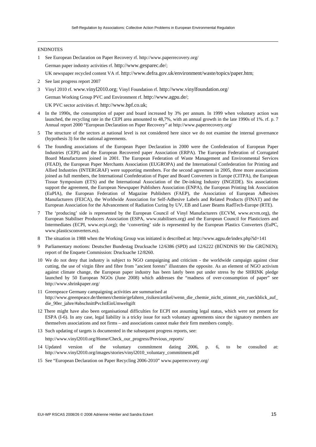#### **ENDNOTES**

1

- 1 See European Declaration on Paper Recovery rf. <http://www.paperrecovery.org/> German paper industry activities rf. [http://www.gesparec.de/;](http://www.gesparec.de/) 
	- UK newspaper recycled content VA rf. [http://www.defra.gov.uk/environment/waste/topics/paper.htm;](http://www.defra.gov.uk/environment/waste/topics/paper.htm)
- 2 See last progress report 2007
- 3 Vinyl 2010 rf. [www.vinyl2010.org;](http://www.vinyl2010.org) Vinyl Foundation rf.<http://www.vinylfoundation.org/>

German Working Group PVC and Environment rf. [http://www.agpu.de/;](http://www.agpu.de/)

UK PVC sector activities rf. [http://www.bpf.co.uk;](http://www.bpf.co.uk)

- 4 In the 1990s, the consumption of paper and board increased by 3% per annum. In 1999 when voluntary action was launched, the recycling rate in the CEPI area amounted to 48,7%, with an annual growth in the late 1990s of 1%. rf. p. 7 Annual report 2000 "European Declaration on Paper Recovery" at<http://www.paperrecovery.org/>
- 5 The structure of the sectors at national level is not considered here since we do not examine the internal governance (hypothesis 3) for the national agreements.
- 6 The founding associations of the European Paper Declaration in 2000 were the Confederation of European Paper Industries (CEPI) and the European Recovered paper Association (ERPA). The European Federation of Corrugated Board Manufacturers joined in 2001. The European Federation of Waste Management and Environmental Services (FEAD), the European Paper Merchants Association (EUGROPA) and the International Confederation for Printing and Allied Industries (INTERGRAF) were supporting members. For the second agreement in 2005, three more associations joined as full members, the International Confederation of Paper and Board Converters in Europe (CITPA), the European Tissue Symposium (ETS) and the International Association of the De-inking Industry (INGEDE). Six associations support the agreement, the European Newspaper Publishers Association (ENPA), the European Printing Ink Association (EuPIA), the European Federation of Magazine Publishers (FAEP), the Association of European Adhesives Manufacturers (FEICA), the Worldwide Association for Self-Adhesive Labels and Related Products (FINAT) and the European Association for the Advancement of Radiation Curing by UV, EB and Laser Beams RadTech-Europe (RTE).
- 7 The 'producing' side is represented by the European Council of Vinyl Manufacturers (ECVM, [www.ecvm.org\), th](http://www.ecvm.org)e European Stabiliser Producers Association (ESPA, [www.stabilisers.org\)](http://www.stabilisers.org) and the European Council for Plasticizers and Intermediates (ECPI, [www.ecpi.org\); th](http://www.ecpi.org)e 'converting' side is represented by the European Plastics Converters (EuPC, [www.plasticsconverters.eu\).](http://www.plasticsconverters.eu)
- 8 The situation in 1988 when the Working Group was initiated is described at: <http://www.agpu.de/index.php?id=141>
- 9 Parliamentary motions: Deutscher Bundestag Drucksache 12/6386 (SPD) and 12/6222 (BÜNDNIS 90/ Die GRÜNEN); report of the Enquete Commission: Drucksache 12/8260.
- 10 We do not deny that industry is subject to NGO campaigning and criticism the worldwide campaign against clear cutting, the use of virgin fibre and fibre from "ancient forests" illustrates the opposite. As an element of NGO activism against climate change, the European paper industry has been lately been put under stress by the SHRINK pledge launched by 50 European NGOs (June 2008) which addresses the "madness of over-consumption of paper" see <http://www.shrinkpaper.org/>
- 11 Greenpeace Germany campaigning activities are summarised at [http://www.greenpeace.de/themen/chemie/gefahren\\_risiken/artikel/wenn\\_die\\_chemie\\_nicht\\_stimmt\\_ein\\_rueckblick\\_auf\\_](http://www.greenpeace.de/themen/chemie/gefahren_risiken/artikel/wenn_die_chemie_nicht_stimmt_ein_rueckblick_auf_) die\_90er\_jahre/#abschnittPvcIstEinUmweltgift
- 12 There might have also been organisational difficulties for ECPI not assuming legal status, which were not present for ESPA (I-6). In any case, legal liability is a tricky issue for such voluntary agreements since the signatory members are themselves associations and not firms – and associations cannot make their firm members comply.
- 13 Such updating of targets is documented in the subsequent progress reports, see:

[http://www.vinyl2010.org/Home/Check\\_our\\_progress/Previous\\_reports/](http://www.vinyl2010.org/Home/Check_our_progress/Previous_reports/) 

- 14 Updated version of the voluntary commitment dating 2006, p. 6, to be consulted at: [http://www.vinyl2010.org/images/stories/vinyl2010\\_voluntary\\_commitment.pdf](http://www.vinyl2010.org/images/stories/vinyl2010_voluntary_commitment.pdf)
- 15 See "European Declaration on Paper Recycling 2006-2010" [www.paperrecovery.org/](http://www.paperrecovery.org/)